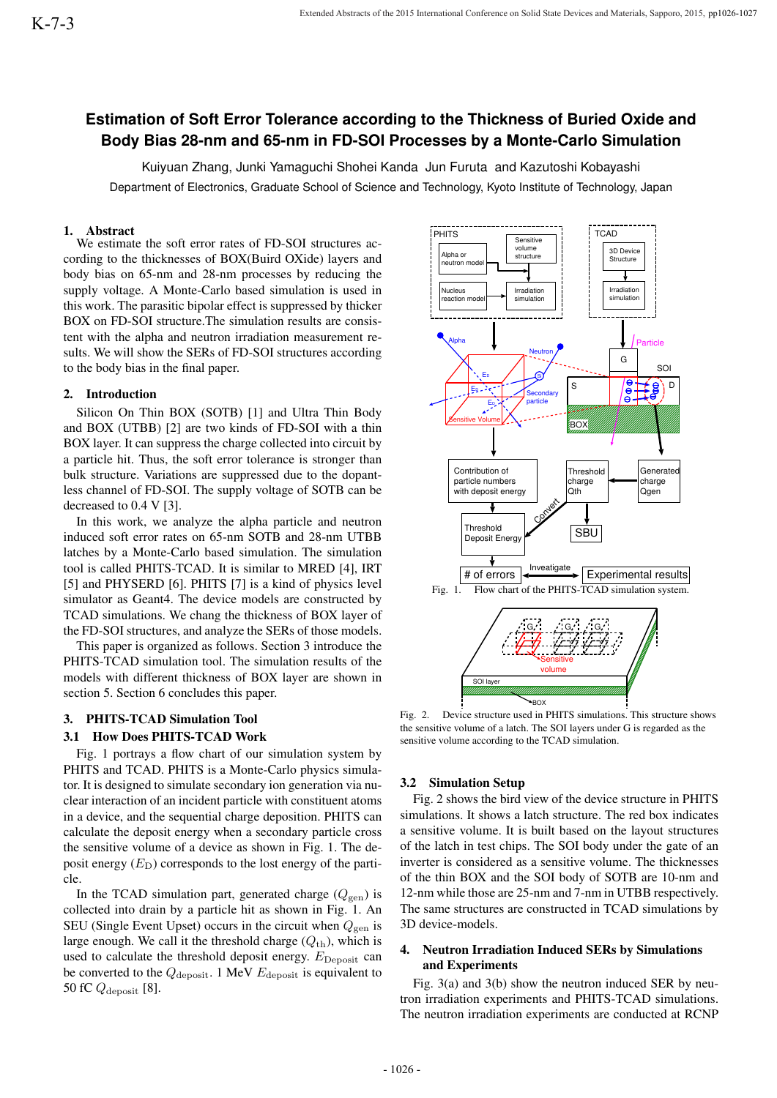# **Estimation of Soft Error Tolerance according to the Thickness of Buried Oxide and Body Bias 28-nm and 65-nm in FD-SOI Processes by a Monte-Carlo Simulation**

Kuiyuan Zhang, Junki Yamaguchi Shohei Kanda Jun Furuta and Kazutoshi Kobayashi Department of Electronics, Graduate School of Science and Technology, Kyoto Institute of Technology, Japan

# 1. Abstract

We estimate the soft error rates of FD-SOI structures according to the thicknesses of BOX(Buird OXide) layers and body bias on 65-nm and 28-nm processes by reducing the supply voltage. A Monte-Carlo based simulation is used in this work. The parasitic bipolar effect is suppressed by thicker BOX on FD-SOI structure.The simulation results are consistent with the alpha and neutron irradiation measurement results. We will show the SERs of FD-SOI structures according to the body bias in the final paper.

#### 2. Introduction

Silicon On Thin BOX (SOTB) [1] and Ultra Thin Body and BOX (UTBB) [2] are two kinds of FD-SOI with a thin BOX layer. It can suppress the charge collected into circuit by a particle hit. Thus, the soft error tolerance is stronger than bulk structure. Variations are suppressed due to the dopantless channel of FD-SOI. The supply voltage of SOTB can be decreased to 0.4 V [3].

In this work, we analyze the alpha particle and neutron induced soft error rates on 65-nm SOTB and 28-nm UTBB latches by a Monte-Carlo based simulation. The simulation tool is called PHITS-TCAD. It is similar to MRED [4], IRT [5] and PHYSERD [6]. PHITS [7] is a kind of physics level simulator as Geant4. The device models are constructed by TCAD simulations. We chang the thickness of BOX layer of the FD-SOI structures, and analyze the SERs of those models.

This paper is organized as follows. Section 3 introduce the PHITS-TCAD simulation tool. The simulation results of the models with different thickness of BOX layer are shown in section 5. Section 6 concludes this paper.

#### 3. PHITS-TCAD Simulation Tool

## 3.1 How Does PHITS-TCAD Work

Fig. 1 portrays a flow chart of our simulation system by PHITS and TCAD. PHITS is a Monte-Carlo physics simulator. It is designed to simulate secondary ion generation via nuclear interaction of an incident particle with constituent atoms in a device, and the sequential charge deposition. PHITS can calculate the deposit energy when a secondary particle cross the sensitive volume of a device as shown in Fig. 1. The deposit energy  $(E<sub>D</sub>)$  corresponds to the lost energy of the particle.

In the TCAD simulation part, generated charge  $(Q<sub>gen</sub>)$  is collected into drain by a particle hit as shown in Fig. 1. An SEU (Single Event Upset) occurs in the circuit when  $Q_{gen}$  is large enough. We call it the threshold charge  $(Q<sub>th</sub>)$ , which is used to calculate the threshold deposit energy.  $E_{\text{Deposit}}$  can be converted to the *Q*deposit. 1 MeV *E*deposit is equivalent to 50 fC *Q*deposit [8].



Fig. 2. Device structure used in PHITS simulations. This structure shows the sensitive volume of a latch. The SOI layers under G is regarded as the sensitive volume according to the TCAD simulation.

# 3.2 Simulation Setup

Fig. 2 shows the bird view of the device structure in PHITS simulations. It shows a latch structure. The red box indicates a sensitive volume. It is built based on the layout structures of the latch in test chips. The SOI body under the gate of an inverter is considered as a sensitive volume. The thicknesses of the thin BOX and the SOI body of SOTB are 10-nm and 12-nm while those are 25-nm and 7-nm in UTBB respectively. The same structures are constructed in TCAD simulations by 3D device-models.

## 4. Neutron Irradiation Induced SERs by Simulations and Experiments

Fig. 3(a) and 3(b) show the neutron induced SER by neutron irradiation experiments and PHITS-TCAD simulations. The neutron irradiation experiments are conducted at RCNP